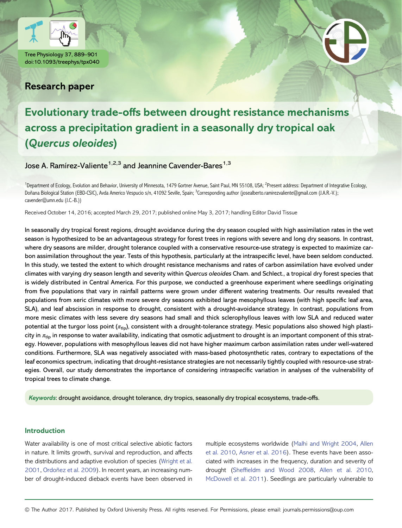

Tree Physiology 37, 889–901 doi:10.1093/treephys/tpx040

# Research paper

# Evolutionary trade-offs between drought resistance mechanisms across a precipitation gradient in a seasonally dry tropical oak (Quercus oleoides)

Jose A. Ramírez-Valiente<sup>1,2,3</sup> and Jeannine Cavender-Bares<sup>1,3</sup>

<sup>1</sup>Department of Ecology, Evolution and Behavior, University of Minnesota, 1479 Gortner Avenue, Saint Paul, MN 55108, USA; <sup>2</sup>Present address: Department of Integrative Ecology, Doñana Biological Station (EBD-CSIC), Avda Americo Vespucio s/n, 41092 Seville, Spain; <sup>3</sup>Corresponding author (josealberto.ramirezvaliente@gmail.com (J.A.R.-V.): cavender@umn.edu (J.C.-B.))

Received October 14, 2016; accepted March 29, 2017; published online May 3, 2017; handling Editor David Tissue

In seasonally dry tropical forest regions, drought avoidance during the dry season coupled with high assimilation rates in the wet season is hypothesized to be an advantageous strategy for forest trees in regions with severe and long dry seasons. In contrast, where dry seasons are milder, drought tolerance coupled with a conservative resource-use strategy is expected to maximize carbon assimilation throughout the year. Tests of this hypothesis, particularly at the intraspecific level, have been seldom conducted. In this study, we tested the extent to which drought resistance mechanisms and rates of carbon assimilation have evolved under climates with varying dry season length and severity within Quercus oleoides Cham. and Schlect., a tropical dry forest species that is widely distributed in Central America. For this purpose, we conducted a greenhouse experiment where seedlings originating from five populations that vary in rainfall patterns were grown under different watering treatments. Our results revealed that populations from xeric climates with more severe dry seasons exhibited large mesophyllous leaves (with high specific leaf area, SLA), and leaf abscission in response to drought, consistent with a drought-avoidance strategy. In contrast, populations from more mesic climates with less severe dry seasons had small and thick sclerophyllous leaves with low SLA and reduced water potential at the turgor loss point ( $\pi_{\text{tlo}}$ ), consistent with a drought-tolerance strategy. Mesic populations also showed high plasticity in  $\pi_{\text{th}}$  in response to water availability, indicating that osmotic adjustment to drought is an important component of this strategy. However, populations with mesophyllous leaves did not have higher maximum carbon assimilation rates under well-watered conditions. Furthermore, SLA was negatively associated with mass-based photosynthetic rates, contrary to expectations of the leaf economics spectrum, indicating that drought-resistance strategies are not necessarily tightly coupled with resource-use strategies. Overall, our study demonstrates the importance of considering intraspecific variation in analyses of the vulnerability of tropical trees to climate change.

Keywords: drought avoidance, drought tolerance, dry tropics, seasonally dry tropical ecosystems, trade-offs.

# Introduction

Water availability is one of most critical selective abiotic factors in nature. It limits growth, survival and reproduction, and affects the distributions and adaptive evolution of species ([Wright et al.](#page-12-0) [2001,](#page-12-0) [Ordoñez et al. 2009\)](#page-11-0). In recent years, an increasing number of drought-induced dieback events have been observed in multiple ecosystems worldwide ([Malhi and Wright 2004](#page-11-0), [Allen](#page-10-0) [et al. 2010](#page-10-0), [Asner et al. 2016\)](#page-10-0). These events have been associated with increases in the frequency, duration and severity of drought (Sheffi[eldm and Wood 2008](#page-12-0), [Allen et al. 2010,](#page-10-0) [McDowell et al. 2011\)](#page-11-0). Seedlings are particularly vulnerable to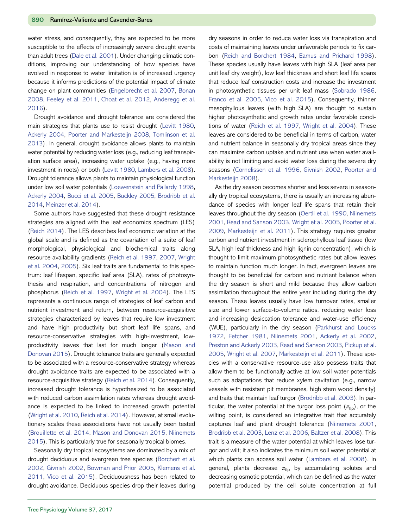water stress, and consequently, they are expected to be more susceptible to the effects of increasingly severe drought events than adult trees ([Dale et al. 2001\)](#page-10-0). Under changing climatic conditions, improving our understanding of how species have evolved in response to water limitation is of increased urgency because it informs predictions of the potential impact of climate change on plant communities [\(Engelbrecht et al. 2007](#page-10-0), [Bonan](#page-10-0) [2008,](#page-10-0) [Feeley et al. 2011,](#page-11-0) [Choat et al. 2012](#page-10-0), [Anderegg et al.](#page-10-0) [2016\)](#page-10-0).

Drought avoidance and drought tolerance are considered the main strategies that plants use to resist drought [\(Levitt 1980](#page-11-0), [Ackerly 2004](#page-10-0), [Poorter and Markesteijn 2008,](#page-11-0) [Tomlinson et al.](#page-12-0) [2013](#page-12-0)). In general, drought avoidance allows plants to maintain water potential by reducing water loss (e.g., reducing leaf transpiration surface area), increasing water uptake (e.g., having more investment in roots) or both [\(Levitt 1980,](#page-11-0) [Lambers et al. 2008](#page-11-0)). Drought tolerance allows plants to maintain physiological function under low soil water potentials ([Loewenstein and Pallardy 1998](#page-11-0), [Ackerly 2004,](#page-10-0) [Bucci et al. 2005](#page-10-0), [Buckley 2005,](#page-10-0) [Brodribb et al.](#page-10-0) [2014](#page-10-0), [Meinzer et al. 2014\)](#page-11-0).

Some authors have suggested that these drought resistance strategies are aligned with the leaf economics spectrum (LES) ([Reich 2014\)](#page-12-0). The LES describes leaf economic variation at the global scale and is defined as the covariation of a suite of leaf morphological, physiological and biochemical traits along resource availability gradients [\(Reich et al. 1997](#page-12-0), [2007](#page-12-0), [Wright](#page-12-0) [et al. 2004,](#page-12-0) [2005](#page-12-0)). Six leaf traits are fundamental to this spectrum: leaf lifespan, specific leaf area (SLA), rates of photosynthesis and respiration, and concentrations of nitrogen and phosphorus [\(Reich et al. 1997,](#page-12-0) [Wright et al. 2004\)](#page-12-0). The LES represents a continuous range of strategies of leaf carbon and nutrient investment and return, between resource-acquisitive strategies characterized by leaves that require low investment and have high productivity but short leaf life spans, and resource-conservative strategies with high-investment, lowproductivity leaves that last for much longer ([Mason and](#page-11-0) [Donovan 2015\)](#page-11-0). Drought tolerance traits are generally expected to be associated with a resource-conservative strategy whereas drought avoidance traits are expected to be associated with a resource-acquisitive strategy ([Reich et al. 2014\)](#page-12-0). Consequently, increased drought tolerance is hypothesized to be associated with reduced carbon assimilation rates whereas drought avoidance is expected to be linked to increased growth potential ([Wright et al. 2010](#page-12-0), [Reich et al. 2014\)](#page-12-0). However, at small evolutionary scales these associations have not usually been tested ([Brouillette et al. 2014](#page-10-0), [Mason and Donovan 2015](#page-11-0), [Niinemets](#page-11-0) [2015\)](#page-11-0). This is particularly true for seasonally tropical biomes.

Seasonally dry tropical ecosystems are dominated by a mix of drought deciduous and evergreen tree species ([Borchert et al.](#page-10-0) [2002,](#page-10-0) [Givnish 2002,](#page-11-0) [Bowman and Prior 2005](#page-10-0), [Klemens et al.](#page-11-0) [2011,](#page-11-0) [Vico et al. 2015](#page-12-0)). Deciduousness has been related to drought avoidance. Deciduous species drop their leaves during

dry seasons in order to reduce water loss via transpiration and costs of maintaining leaves under unfavorable periods to fix carbon [\(Reich and Borchert 1984,](#page-12-0) [Eamus and Prichard 1998](#page-10-0)). These species usually have leaves with high SLA (leaf area per unit leaf dry weight), low leaf thickness and short leaf life spans that reduce leaf construction costs and increase the investment in photosynthetic tissues per unit leaf mass [\(Sobrado 1986](#page-12-0), [Franco et al. 2005,](#page-11-0) [Vico et al. 2015](#page-12-0)). Consequently, thinner mesophyllous leaves (with high SLA) are thought to sustain higher photosynthetic and growth rates under favorable conditions of water [\(Reich et al. 1997](#page-12-0), [Wright et al. 2004](#page-12-0)). These leaves are considered to be beneficial in terms of carbon, water and nutrient balance in seasonally dry tropical areas since they can maximize carbon uptake and nutrient use when water availability is not limiting and avoid water loss during the severe dry seasons [\(Cornelissen et al. 1996,](#page-10-0) [Givnish 2002,](#page-11-0) [Poorter and](#page-11-0) [Markesteijn 2008\)](#page-11-0).

As the dry season becomes shorter and less severe in seasonally dry tropical ecosystems, there is usually an increasing abundance of species with longer leaf life spans that retain their leaves throughout the dry season ([Oertli et al. 1990](#page-11-0), [Niinemets](#page-11-0) [2001,](#page-11-0) [Read and Sanson 2003](#page-12-0), [Wright et al. 2005,](#page-12-0) [Poorter et al.](#page-11-0) [2009,](#page-11-0) [Markesteijn et al. 2011](#page-11-0)). This strategy requires greater carbon and nutrient investment in sclerophyllous leaf tissue (low SLA, high leaf thickness and high lignin concentration), which is thought to limit maximum photosynthetic rates but allow leaves to maintain function much longer. In fact, evergreen leaves are thought to be beneficial for carbon and nutrient balance when the dry season is short and mild because they allow carbon assimilation throughout the entire year including during the dry season. These leaves usually have low turnover rates, smaller size and lower surface-to-volume ratios, reducing water loss and increasing desiccation tolerance and water-use efficiency (WUE), particularly in the dry season [\(Parkhurst and Loucks](#page-11-0) [1972,](#page-11-0) [Fetcher 1981,](#page-11-0) [Niinemets 2001,](#page-11-0) [Ackerly et al. 2002](#page-10-0), [Preston and Ackerly 2003,](#page-12-0) [Read and Sanson 2003,](#page-12-0) [Pickup et al.](#page-11-0) [2005,](#page-11-0) [Wright et al. 2007,](#page-12-0) [Markesteijn et al. 2011](#page-11-0)). These species with a conservative resource-use also possess traits that allow them to be functionally active at low soil water potentials such as adaptations that reduce xylem cavitation (e.g., narrow vessels with resistant pit membranes, high stem wood density) and traits that maintain leaf turgor ([Brodribb et al. 2003](#page-10-0)). In particular, the water potential at the turgor loss point  $(\pi_{\text{th}})$ , or the wilting point, is considered an integrative trait that accurately captures leaf and plant drought tolerance ([Niinemets 2001](#page-11-0), [Brodribb et al. 2003](#page-10-0), [Lenz et al. 2006](#page-11-0), [Baltzer et al. 2008](#page-10-0)). This trait is a measure of the water potential at which leaves lose turgor and wilt; it also indicates the minimum soil water potential at which plants can access soil water ([Lambers et al. 2008](#page-11-0)). In general, plants decrease  $\pi_{\text{tip}}$  by accumulating solutes and decreasing osmotic potential, which can be defined as the water potential produced by the cell solute concentration at full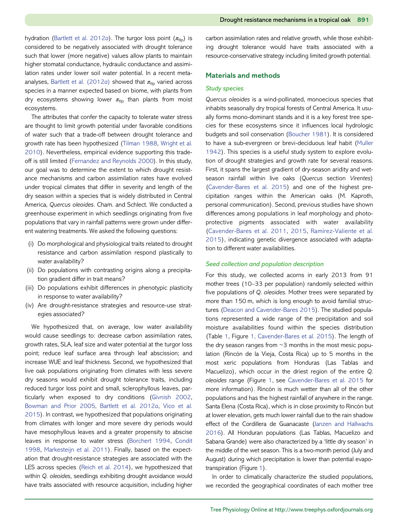hydration [\(Bartlett et al. 2012](#page-10-0)a). The turgor loss point  $(\pi_{\text{th}})$  is considered to be negatively associated with drought tolerance such that lower (more negative) values allow plants to maintain higher stomatal conductance, hydraulic conductance and assimilation rates under lower soil water potential. In a recent meta-analyses, [Bartlett et al. \(2012](#page-10-0)a) showed that  $\pi_{\text{th}}$  varied across species in a manner expected based on biome, with plants from dry ecosystems showing lower  $\pi_{\text{th}}$  than plants from moist ecosystems.

The attributes that confer the capacity to tolerate water stress are thought to limit growth potential under favorable conditions of water such that a trade-off between drought tolerance and growth rate has been hypothesized [\(Tilman 1988](#page-12-0), [Wright et al.](#page-12-0) [2010\)](#page-12-0). Nevertheless, empirical evidence supporting this tradeoff is still limited [\(Fernandez and Reynolds 2000](#page-11-0)). In this study, our goal was to determine the extent to which drought resistance mechanisms and carbon assimilation rates have evolved under tropical climates that differ in severity and length of the dry season within a species that is widely distributed in Central America, Quercus oleoides. Cham. and Schlect. We conducted a greenhouse experiment in which seedlings originating from five populations that vary in rainfall patterns were grown under different watering treatments. We asked the following questions:

- (i) Do morphological and physiological traits related to drought resistance and carbon assimilation respond plastically to water availability?
- (ii) Do populations with contrasting origins along a precipitation gradient differ in trait means?
- (iii) Do populations exhibit differences in phenotypic plasticity in response to water availability?
- (iv) Are drought-resistance strategies and resource-use strategies associated?

We hypothesized that, on average, low water availability would cause seedlings to: decrease carbon assimilation rates, growth rates, SLA, leaf size and water potential at the turgor loss point; reduce leaf surface area through leaf abscission; and increase WUE and leaf thickness. Second, we hypothesized that live oak populations originating from climates with less severe dry seasons would exhibit drought tolerance traits, including reduced turgor loss point and small, sclerophyllous leaves, particularly when exposed to dry conditions ([Givnish 2002,](#page-11-0) [Bowman and Prior 2005](#page-10-0), [Bartlett et al. 2012](#page-10-0)a, [Vico et al.](#page-12-0) [2015\)](#page-12-0). In contrast, we hypothesized that populations originating from climates with longer and more severe dry periods would have mesophyllous leaves and a greater propensity to abscise leaves in response to water stress [\(Borchert 1994](#page-10-0), [Condit](#page-10-0) [1998,](#page-10-0) [Markesteijn et al. 2011\)](#page-11-0). Finally, based on the expectation that drought-resistance strategies are associated with the LES across species [\(Reich et al. 2014\)](#page-12-0), we hypothesized that within Q. oleoides, seedlings exhibiting drought avoidance would have traits associated with resource acquisition, including higher

carbon assimilation rates and relative growth, while those exhibiting drought tolerance would have traits associated with a resource-conservative strategy including limited growth potential.

# Materials and methods

# Study species

Quercus oleoides is a wind-pollinated, monoecious species that inhabits seasonally dry tropical forests of Central America. It usually forms mono-dominant stands and it is a key forest tree species for these ecosystems since it influences local hydrologic budgets and soil conservation [\(Boucher 1981\)](#page-10-0). It is considered to have a sub-evergreen or brevi-deciduous leaf habit ([Muller](#page-11-0) [1942\)](#page-11-0). This species is a useful study system to explore evolution of drought strategies and growth rate for several reasons. First, it spans the largest gradient of dry-season aridity and wetseason rainfall within live oaks (Quercus section Virentes) (Cavender‐[Bares et al. 2015](#page-10-0)) and one of the highest precipitation ranges within the American oaks (M. Kaproth, personal communication). Second, previous studies have shown differences among populations in leaf morphology and photoprotective pigments associated with water availability (Cavender‐[Bares et al. 2011,](#page-10-0) [2015](#page-10-0), [Ramírez-Valiente et al.](#page-12-0) [2015](#page-12-0)), indicating genetic divergence associated with adaptation to different water availabilities.

# Seed collection and population description

For this study, we collected acorns in early 2013 from 91 mother trees (10–33 per population) randomly selected within five populations of Q. oleoides. Mother trees were separated by more than 150 m, which is long enough to avoid familial structures ([Deacon and Cavender-Bares 2015](#page-10-0)). The studied populations represented a wide range of the precipitation and soil moisture availabilities found within the species distribution (Table [1](#page-3-0), Figure 1, Cavender‐[Bares et al. 2015\)](#page-3-0). The length of the dry season ranges from  $\sim$ 3 months in the most mesic population (Rincón de la Vieja, Costa Rica) up to 5 months in the most xeric populations from Honduras (Las Tablas and Macuelizo), which occur in the driest region of the entire Q. oleoides range (Figure [1](#page-3-0), see Cavender‐[Bares et al. 2015](#page-10-0) for more information). Rincón is much wetter than all of the other populations and has the highest rainfall of anywhere in the range. Santa Elena (Costa Rica), which is in close proximity to Rincón but at lower elevation, gets much lower rainfall due to the rain shadow effect of the Cordillera de Guanacaste [\(Janzen and Hallwachs](#page-11-0) [2016](#page-11-0)). All Honduran populations (Las Tablas, Macuelizo and Sabana Grande) were also characterized by a 'little dry season' in the middle of the wet season. This is a two-month period (July and August) during which precipitation is lower than potential evapotranspiration (Figure [1](#page-3-0)).

In order to climatically characterize the studied populations, we recorded the geographical coordinates of each mother tree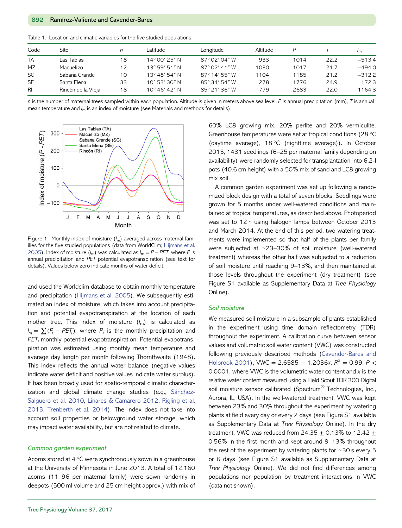<span id="page-3-0"></span>

|  |  |  |  |  |  | Table 1. Location and climatic variables for the five studied populations. |
|--|--|--|--|--|--|----------------------------------------------------------------------------|
|--|--|--|--|--|--|----------------------------------------------------------------------------|

| Code            | Site               | n  | Latitude               | Longitude     | Altitude |      |      |          |
|-----------------|--------------------|----|------------------------|---------------|----------|------|------|----------|
| <b>TA</b>       | Las Tablas         | 18 | $14^{\circ}$ 00' 25" N | 87° 02′ 04″ W | 933      | 1014 | 22.2 | $-513.4$ |
| MZ              | Macuelizo          | 12 | $13^{\circ}$ 59' 51" N | 87° 02' 41″ W | 1030     | 1017 | 21.7 | $-494.0$ |
| SG              | Sabana Grande      | 10 | $13^{\circ}$ 48' 54" N | 87° 14' 55" W | 1104     | 1185 | 21.2 | $-312.2$ |
| <b>SE</b>       | Santa Elena        | 33 | $10^{\circ}$ 53' 30" N | 85° 34' 54" W | 278      | 1776 | 24.9 | 172.3    |
| $R_{\parallel}$ | Rincón de la Vieja | 18 | $10^{\circ}$ 46' 42" N | 85° 21' 36" W | 779      | 2683 | 22.0 | 1164.3   |

 $n$  is the number of maternal trees sampled within each population. Altitude is given in meters above sea level. P is annual precipitation (mm), T is annual mean temperature and  $I_m$  is an index of moisture (see Materials and methods for details).



Figure 1. Monthly index of moisture  $(l_m)$  averaged across maternal families for the five studied populations (data from WorldClim; [Hijmans et al.](#page-11-0) [2005](#page-11-0)). Index of moisture  $(I_m)$  was calculated as  $I_m = P - PET$ , where P is annual precipitation and PET potential evapotranspiration (see text for details). Values below zero indicate months of water deficit.

and used the Worldclim database to obtain monthly temperature and precipitation ([Hijmans et al. 2005](#page-11-0)). We subsequently estimated an index of moisture, which takes into account precipitation and potential evapotranspiration at the location of each mother tree. This index of moisture  $(l_m)$  is calculated as  $I_m = \sum (P_i - PET_i)$ , where  $P_i$  is the monthly precipitation and  $PET_i$  monthly potential evapotranspiration. Potential evapotranspiration was estimated using monthly mean temperature and average day length per month following Thornthwaite (1948). This index reflects the annual water balance (negative values indicate water deficit and positive values indicate water surplus). It has been broadly used for spatio-temporal climatic characterization and global climate change studies (e.g., [Sánchez-](#page-12-0)[Salguero et al. 2010](#page-12-0), [Linares & Camarero 2012,](#page-11-0) [Rigling et al.](#page-12-0) [2013,](#page-12-0) [Trenberth et al. 2014\)](#page-12-0). The index does not take into account soil properties or belowground water storage, which may impact water availability, but are not related to climate.

## Common garden experiment

Acorns stored at 4 °C were synchronously sown in a greenhouse at the University of Minnesota in June 2013. A total of 12,160 acorns (11–96 per maternal family) were sown randomly in deepots (500 ml volume and 25 cm height approx.) with mix of

60% LC8 growing mix, 20% perlite and 20% vermiculite. Greenhouse temperatures were set at tropical conditions (28 °C (daytime average), 18 °C (nighttime average)). In October 2013, 1431 seedlings (6–25 per maternal family depending on availability) were randomly selected for transplantation into 6.2-l pots (40.6 cm height) with a 50% mix of sand and LC8 growing mix soil.

A common garden experiment was set up following a randomized block design with a total of seven blocks. Seedlings were grown for 5 months under well-watered conditions and maintained at tropical temperatures, as described above. Photoperiod was set to 12 h using halogen lamps between October 2013 and March 2014. At the end of this period, two watering treatments were implemented so that half of the plants per family were subjected at ~23–30% of soil moisture (well-watered treatment) whereas the other half was subjected to a reduction of soil moisture until reaching 9–13%, and then maintained at those levels throughout the experiment (dry treatment) (see Figure S1 available as Supplementary Data at Tree Physiology Online).

#### Soil moisture

We measured soil moisture in a subsample of plants established in the experiment using time domain reflectometry (TDR) throughout the experiment. A calibration curve between sensor values and volumetric soil water content (VWC) was constructed following previously described methods (Cavender‐[Bares and](#page-10-0) [Holbrook 2001\)](#page-10-0), VWC = 2.6585 + 1.2036x,  $R^2$  = 0.99, P < 0.0001, where VWC is the volumetric water content and  $x$  is the relative water content measured using a Field Scout TDR 300 Digital soil moisture sensor calibrated (Spectrum<sup>®</sup> Technologies, Inc., Aurora, IL, USA). In the well-watered treatment, VWC was kept between 23% and 30% throughout the experiment by watering plants at field every day or every 2 days (see Figure S1 available as Supplementary Data at Tree Physiology Online). In the dry treatment, VWC was reduced from 24.35  $\pm$  0.13% to 12.42  $\pm$ 0.56% in the first month and kept around 9–13% throughout the rest of the experiment by watering plants for  $\sim$ 30 s every 5 or 6 days (see Figure S1 available as Supplementary Data at Tree Physiology Online). We did not find differences among populations nor population by treatment interactions in VWC (data not shown).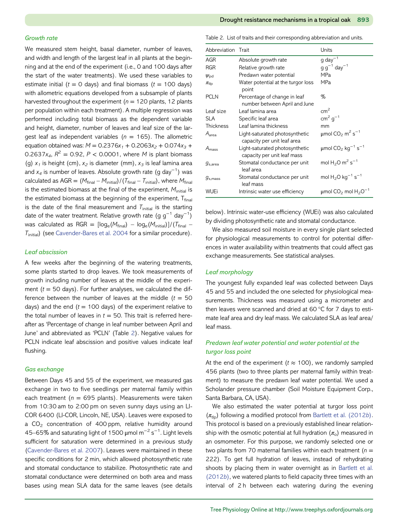#### Growth rate

We measured stem height, basal diameter, number of leaves, and width and length of the largest leaf in all plants at the beginning and at the end of the experiment (i.e., 0 and 100 days after the start of the water treatments). We used these variables to estimate initial ( $t = 0$  days) and final biomass ( $t = 100$  days) with allometric equations developed from a subsample of plants harvested throughout the experiment ( $n = 120$  plants, 12 plants per population within each treatment). A multiple regression was performed including total biomass as the dependent variable and height, diameter, number of leaves and leaf size of the largest leaf as independent variables ( $n = 165$ ). The allometric equation obtained was:  $M = 0.2376x_1 + 0.2063x_2 + 0.074x_3 +$ 0.2637 $x_4$ ,  $R^2 = 0.92$ ,  $P < 0.0001$ , where *M* is plant biomass (g)  $x_1$  is height (cm),  $x_2$  is diameter (mm),  $x_3$  is leaf lamina area and  $x_4$  is number of leaves. Absolute growth rate (g day $^{-1})$  was calculated as  $AGR = (M_{final} - M_{initial})/(T_{final} - T_{initial})$ , where  $M_{final}$ is the estimated biomass at the final of the experiment,  $M<sub>initial</sub>$  is the estimated biomass at the beginning of the experiment,  $T_{final}$ is the date of the final measurement and  $T_{initial}$  is the starting date of the water treatment. Relative growth rate (g  $g^{-1}$  day $^{-1}$ ) was calculated as RGR =  $\lceil \log_e(M_{\text{final}}) - \log_e(M_{\text{initial}})\rceil / (T_{\text{final}} T<sub>initial</sub>$  (see [Cavender-Bares et al. 2004](#page-10-0) for a similar procedure).

## Leaf abscission

A few weeks after the beginning of the watering treatments, some plants started to drop leaves. We took measurements of growth including number of leaves at the middle of the experiment  $(t = 50$  days). For further analyses, we calculated the difference between the number of leaves at the middle  $(t = 50$ days) and the end  $(t = 100 \text{ days})$  of the experiment relative to the total number of leaves in  $t = 50$ . This trait is referred hereafter as 'Percentage of change in leaf number between April and June' and abbreviated as 'PCLN' (Table 2). Negative values for PCLN indicate leaf abscission and positive values indicate leaf flushing.

# Gas exchange

Between Days 45 and 55 of the experiment, we measured gas exchange in two to five seedlings per maternal family within each treatment ( $n = 695$  plants). Measurements were taken from 10:30 am to 2:00 pm on seven sunny days using an LI-COR 6400 (LI-COR, Lincoln, NE, USA). Leaves were exposed to a  $CO<sub>2</sub>$  concentration of 400 ppm, relative humidity around 45–65% and saturating light of 1500 μmol m $^{-2}$  s $^{-1}$ . Light levels sufficient for saturation were determined in a previous study ([Cavender-Bares et al. 2007](#page-10-0)). Leaves were maintained in these specific conditions for 2 min, which allowed photosynthetic rate and stomatal conductance to stabilize. Photosynthetic rate and stomatal conductance were determined on both area and mass bases using mean SLA data for the same leaves (see details

Table 2. List of traits and their corresponding abbreviation and units.

| Abbreviation Trait |                                                               | Units                                                        |
|--------------------|---------------------------------------------------------------|--------------------------------------------------------------|
| <b>AGR</b>         | Absolute growth rate                                          | $g \,day^{-1}$                                               |
| <b>RGR</b>         | Relative growth rate                                          | $g g^{-1}$ day <sup>-1</sup>                                 |
| $\psi_{\rm pd}$    | Predawn water potential                                       | MPa                                                          |
| $\pi_{\text{tlp}}$ | Water potential at the turgor loss<br>point                   | MPa                                                          |
| <b>PCLN</b>        | Percentage of change in leaf<br>number between April and June | %                                                            |
| Leaf size          | Leaf lamina area                                              | cm <sup>2</sup>                                              |
| <b>SLA</b>         | Specific leaf area                                            | $cm2 g-1$                                                    |
| <b>Thickness</b>   | Leaf lamina thickness                                         | mm                                                           |
| A <sub>area</sub>  | Light-saturated photosynthetic<br>capacity per unit leaf area | $\mu$ mol CO <sub>2</sub> m <sup>2</sup> s <sup>-1</sup>     |
| $A_{\rm mass}$     | Light-saturated photosynthetic<br>capacity per unit leaf mass | $\mu$ mol CO <sub>2</sub> kg <sup>-1</sup> s <sup>-1</sup>   |
| $g_{s,area}$       | Stomatal conductance per unit<br>leaf area                    | mol $H_2O$ m <sup>2</sup> s <sup>-1</sup>                    |
| $g_{\rm s,mass}$   | Stomatal conductance per unit<br>leaf mass                    | mol $H_2O$ kg <sup>-1</sup> s <sup>-1</sup>                  |
| WUEi               | Intrinsic water use efficiency                                | $\mu$ mol CO <sub>2</sub> mol H <sub>2</sub> O <sup>-1</sup> |

below). Intrinsic water-use efficiency (WUEi) was also calculated by dividing photosynthetic rate and stomatal conductance.

We also measured soil moisture in every single plant selected for physiological measurements to control for potential differences in water availability within treatments that could affect gas exchange measurements. See statistical analyses.

# Leaf morphology

The youngest fully expanded leaf was collected between Days 45 and 55 and included the one selected for physiological measurements. Thickness was measured using a micrometer and then leaves were scanned and dried at 60 °C for 7 days to estimate leaf area and dry leaf mass. We calculated SLA as leaf area/ leaf mass.

# Predawn leaf water potential and water potential at the turgor loss point

At the end of the experiment ( $t \approx 100$ ), we randomly sampled 456 plants (two to three plants per maternal family within treatment) to measure the predawn leaf water potential. We used a Scholander pressure chamber (Soil Moisture Equipment Corp., Santa Barbara, CA, USA).

We also estimated the water potential at turgor loss point  $(\pi_{\text{th}})$  following a modified protocol from [Bartlett et al. \(2012](#page-10-0)b). This protocol is based on a previously established linear relationship with the osmotic potential at full hydration  $(\pi_{\text{o}})$  measured in an osmometer. For this purpose, we randomly selected one or two plants from 70 maternal families within each treatment ( $n =$ 222). To get full hydration of leaves, instead of rehydrating shoots by placing them in water overnight as in [Bartlett et al.](#page-10-0) [\(2012](#page-10-0)b), we watered plants to field capacity three times with an interval of 2 h between each watering during the evening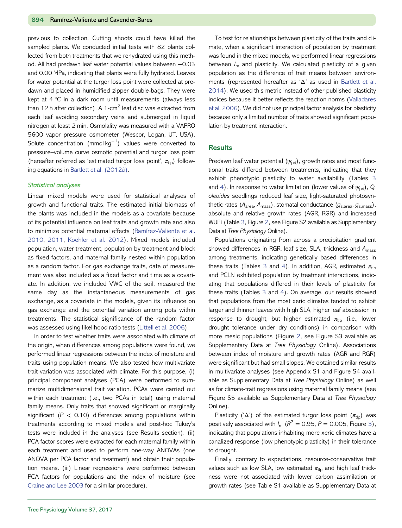previous to collection. Cutting shoots could have killed the sampled plants. We conducted initial tests with 82 plants collected from both treatments that we rehydrated using this method. All had predawn leaf water potential values between −0.03 and 0.00 MPa, indicating that plants were fully hydrated. Leaves for water potential at the turgor loss point were collected at predawn and placed in humidified zipper double-bags. They were kept at 4 °C in a dark room until measurements (always less than 12 h after collection). A 1-cm<sup>2</sup> leaf disc was extracted from each leaf avoiding secondary veins and submerged in liquid nitrogen at least 2 min. Osmolality was measured with a VAPRO 5600 vapor pressure osmometer (Wescor, Logan, UT, USA). Solute concentration (mmol kg−<sup>1</sup> ) values were converted to pressure–volume curve osmotic potential and turgor loss point (hereafter referred as 'estimated turgor loss point',  $\pi_{\text{th}}$ ) following equations in [Bartlett et al. \(2012](#page-10-0)b).

#### Statistical analyses

Linear mixed models were used for statistical analyses of growth and functional traits. The estimated initial biomass of the plants was included in the models as a covariate because of its potential influence on leaf traits and growth rate and also to minimize potential maternal effects [\(Ramírez-Valiente et al.](#page-12-0) [2010](#page-12-0), [2011](#page-12-0), [Koehler et al. 2012\)](#page-11-0). Mixed models included population, water treatment, population by treatment and block as fixed factors, and maternal family nested within population as a random factor. For gas exchange traits, date of measurement was also included as a fixed factor and time as a covariate. In addition, we included VWC of the soil, measured the same day as the instantaneous measurements of gas exchange, as a covariate in the models, given its influence on gas exchange and the potential variation among pots within treatments. The statistical significance of the random factor was assessed using likelihood ratio tests [\(Littell et al. 2006\)](#page-11-0).

In order to test whether traits were associated with climate of the origin, when differences among populations were found, we performed linear regressions between the index of moisture and traits using population means. We also tested how multivariate trait variation was associated with climate. For this purpose, (i) principal component analyses (PCA) were performed to summarize multidimensional trait variation. PCAs were carried out within each treatment (i.e., two PCAs in total) using maternal family means. Only traits that showed significant or marginally significant ( $P < 0.10$ ) differences among populations within treatments according to mixed models and post-hoc Tukey's tests were included in the analyses (see Results section). (ii) PCA factor scores were extracted for each maternal family within each treatment and used to perform one-way ANOVAs (one ANOVA per PCA factor and treatment) and obtain their population means. (iii) Linear regressions were performed between PCA factors for populations and the index of moisture (see [Craine and Lee 2003](#page-10-0) for a similar procedure).

To test for relationships between plasticity of the traits and climate, when a significant interaction of population by treatment was found in the mixed models, we performed linear regressions between  $I_m$  and plasticity. We calculated plasticity of a given population as the difference of trait means between environments (represented hereafter as 'Δ' as used in [Bartlett et al.](#page-10-0) [2014\)](#page-10-0). We used this metric instead of other published plasticity indices because it better reflects the reaction norms [\(Valladares](#page-12-0) [et al. 2006](#page-12-0)). We did not use principal factor analysis for plasticity because only a limited number of traits showed significant population by treatment interaction.

# **Results**

Predawn leaf water potential  $(\psi_{\text{nd}})$ , growth rates and most functional traits differed between treatments, indicating that they exhibit phenotypic plasticity to water availability (Tables [3](#page-6-0) and [4\)](#page-6-0). In response to water limitation (lower values of  $\psi_{\text{nd}}$ ), Q. oleoides seedlings reduced leaf size, light-saturated photosynthetic rates  $(A<sub>area</sub>, A<sub>mass</sub>)$ , stomatal conductance  $(g<sub>s,area</sub>, g<sub>s,mass</sub>)$ , absolute and relative growth rates (AGR, RGR) and increased WUEi (Table [3,](#page-6-0) Figure [2](#page-7-0), see Figure S2 available as Supplementary Data at Tree Physiology Online).

Populations originating from across a precipitation gradient showed differences in RGR, leaf size, SLA, thickness and  $A_{\text{mass}}$ among treatments, indicating genetically based differences in these traits (Tables [3](#page-6-0) and [4](#page-6-0)). In addition, AGR, estimated  $\pi_{\text{th}}$ and PCLN exhibited population by treatment interactions, indicating that populations differed in their levels of plasticity for these traits (Tables [3](#page-6-0) and [4](#page-6-0)). On average, our results showed that populations from the most xeric climates tended to exhibit larger and thinner leaves with high SLA, higher leaf abscission in response to drought, but higher estimated  $\pi_{\text{tlo}}$  (i.e., lower drought tolerance under dry conditions) in comparison with more mesic populations (Figure [2](#page-7-0), see Figure S3 available as Supplementary Data at Tree Physiology Online). Associations between index of moisture and growth rates (AGR and RGR) were significant but had small slopes. We obtained similar results in multivariate analyses (see Appendix S1 and Figure S4 available as Supplementary Data at Tree Physiology Online) as well as for climate-trait regressions using maternal family means (see Figure S5 available as Supplementary Data at Tree Physiology Online).

Plasticity (' $\Delta$ ') of the estimated turgor loss point ( $\pi_{\text{tip}}$ ) was positively associated with  $I_m$  ( $R^2 = 0.95$ ,  $P = 0.005$ , Figure [3](#page-8-0)), indicating that populations inhabiting more xeric climates have a canalized response (low phenotypic plasticity) in their tolerance to drought.

Finally, contrary to expectations, resource-conservative trait values such as low SLA, low estimated  $\pi_{\text{th}}$  and high leaf thickness were not associated with lower carbon assimilation or growth rates (see Table S1 available as Supplementary Data at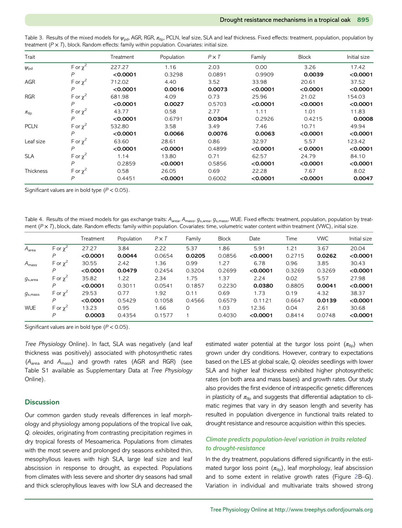| Trait              |               | Treatment | Population | $P \times T$ | Family   | <b>Block</b> | Initial size |
|--------------------|---------------|-----------|------------|--------------|----------|--------------|--------------|
| $\psi_{\rm pd}$    | F or $\chi^2$ | 227.27    | 1.16       | 2.03         | 0.00     | 3.26         | 17.42        |
|                    | $\mathsf{P}$  | < 0.0001  | 0.3298     | 0.0891       | 0.9909   | 0.0039       | < 0.0001     |
| <b>AGR</b>         | F or $\chi^2$ | 712.02    | 4.40       | 3.52         | 33.98    | 20.61        | 37.52        |
|                    | P             | < 0.0001  | 0.0016     | 0.0073       | < 0.0001 | < 0.0001     | < 0.0001     |
| <b>RGR</b>         | F or $\chi^2$ | 681.98    | 4.09       | 0.73         | 25.96    | 21.02        | 154.03       |
|                    | P             | < 0.0001  | 0.0027     | 0.5703       | < 0.0001 | < 0.0001     | < 0.0001     |
| $\pi_{\text{tlp}}$ | F or $\chi^2$ | 43.77     | 0.58       | 2.77         | 1.11     | 1.01         | 11.83        |
|                    | $\mathsf{P}$  | < 0.0001  | 0.6791     | 0.0304       | 0.2926   | 0.4215       | 0.0008       |
| <b>PCLN</b>        | F or $\chi^2$ | 532.80    | 3.58       | 3.49         | 7.46     | 10.71        | 49.94        |
|                    | P             | < 0.0001  | 0.0066     | 0.0076       | 0.0063   | < 0.0001     | < 0.0001     |
| Leaf size          | F or $\chi^2$ | 63.60     | 28.61      | 0.86         | 32.97    | 5.57         | 123.42       |
|                    | P             | < 0.0001  | < 0.0001   | 0.4899       | < 0.0001 | < 0.0001     | < 0.0001     |
| <b>SLA</b>         | F or $\chi^2$ | 1.14      | 13.80      | 0.71         | 62.57    | 24.79        | 84.10        |
|                    | P             | 0.2859    | < 0.0001   | 0.5856       | < 0.0001 | < 0.0001     | < 0.0001     |
| <b>Thickness</b>   | F or $\chi^2$ | 0.58      | 26.05      | 0.69         | 22.28    | 7.67         | 8.02         |
|                    | P             | 0.4451    | < 0.0001   | 0.6002       | < 0.0001 | < 0.0001     | 0.0047       |

<span id="page-6-0"></span>Table 3. Results of the mixed models for  $\psi_{\text{nd}}$ , AGR, RGR,  $\pi_{\text{th}}$ , PCLN, leaf size, SLA and leaf thickness. Fixed effects: treatment, population, population by treatment  $(P \times T)$ , block. Random effects: family within population. Covariates: initial size.

Significant values are in bold type  $(P < 0.05)$ .

Table 4. Results of the mixed models for gas exchange traits: A<sub>area</sub>, A<sub>mass</sub>, g<sub>s,area</sub>, g<sub>s,mass</sub>, WUE. Fixed effects: treatment, population, population by treatment  $(P \times T)$ , block, date. Random effects: family within population. Covariates: time, volumetric water content within treatment (VWC), initial size.

|                     |                 | Treatment | Population | $P \times T$ | Family   | <b>Block</b> | Date     | Time   | <b>VWC</b> | Initial size |
|---------------------|-----------------|-----------|------------|--------------|----------|--------------|----------|--------|------------|--------------|
| A <sub>area</sub>   | F or $\chi^2$   | 27.27     | 3.84       | 2.22         | 5.37     | 1.86         | 5.91     | 1.21   | 3.67       | 20.04        |
|                     | P               | < 0.0001  | 0.0044     | 0.0654       | 0.0205   | 0.0856       | < 0.0001 | 0.2715 | 0.0262     | < 0.0001     |
| $A_{\rm mass}$      | F or $\chi^2$   | 30.55     | 2.42       | 1.36         | 0.99     | 1.27         | 6.78     | 0.96   | 3.85       | 30.43        |
|                     | P               | < 0.0001  | 0.0479     | 0.2454       | 0.3204   | 0.2699       | < 0.0001 | 0.3269 | 0.3269     | < 0.0001     |
| $g_{s,area}$        | F or $\chi^2$   | 35.82     | 1.22       | 2.34         | 1.75     | 1.37         | 2.24     | 0.02   | 5.57       | 27.98        |
|                     | P               | < 0.0001  | 0.3011     | 0.0541       | 0.1857   | 0.2230       | 0.0380   | 0.8805 | 0.0041     | < 0.0001     |
| g <sub>s,mass</sub> | F or $\chi^2$   | 29.53     | 0.77       | 1.92         | 0.11     | 0.69         | 1.73     | 0.19   | 4.32       | 38.37        |
|                     | P               | < 0.0001  | 0.5429     | 0.1058       | 0.4566   | 0.6579       | 0.1121   | 0.6647 | 0.0139     | < 0.0001     |
| <b>WUE</b>          | F or $\gamma^2$ | 13.23     | 0.95       | 1.66         | $\Omega$ | 1.03         | 12.36    | 0.04   | 2.61       | 30.68        |
|                     | P               | 0.0003    | 0.4354     | 0.1577       |          | 0.4030       | < 0.0001 | 0.8414 | 0.0748     | < 0.0001     |

Significant values are in bold type  $(P < 0.05)$ .

Tree Physiology Online). In fact, SLA was negatively (and leaf thickness was positively) associated with photosynthetic rates (Aarea and Amass) and growth rates (AGR and RGR) (see Table S1 available as Supplementary Data at Tree Physiology Online).

# **Discussion**

Our common garden study reveals differences in leaf morphology and physiology among populations of the tropical live oak, Q. oleoides, originating from contrasting precipitation regimes in dry tropical forests of Mesoamerica. Populations from climates with the most severe and prolonged dry seasons exhibited thin, mesophyllous leaves with high SLA, large leaf size and leaf abscission in response to drought, as expected. Populations from climates with less severe and shorter dry seasons had small and thick sclerophyllous leaves with low SLA and decreased the

estimated water potential at the turgor loss point  $(\pi_{\text{tip}})$  when grown under dry conditions. However, contrary to expectations based on the LES at global scale, Q. oleoides seedlings with lower SLA and higher leaf thickness exhibited higher photosynthetic rates (on both area and mass bases) and growth rates. Our study also provides the first evidence of intraspecific genetic differences in plasticity of  $\pi_{\text{tlo}}$  and suggests that differential adaptation to climatic regimes that vary in dry season length and severity has resulted in population divergence in functional traits related to drought resistance and resource acquisition within this species.

# Climate predicts population-level variation in traits related to drought-resistance

In the dry treatment, populations differed significantly in the estimated turgor loss point  $(\pi_{\text{tip}})$ , leaf morphology, leaf abscission and to some extent in relative growth rates (Figure [2B](#page-7-0)–G). Variation in individual and multivariate traits showed strong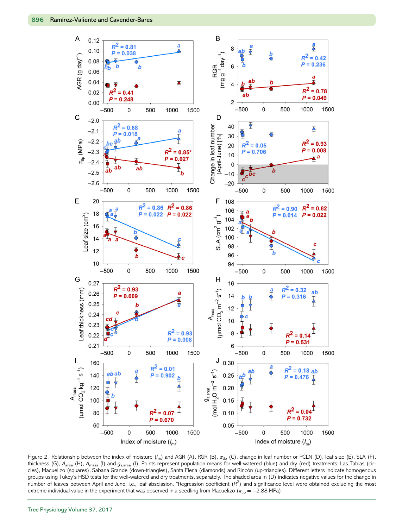<span id="page-7-0"></span>

Figure 2. Relationship between the index of moisture  $(I_m)$  and AGR (A), RGR (B),  $\pi_{\text{tp}}$  (C), change in leaf number or PCLN (D), leaf size (E), SLA (F), thickness (G),  $A_{area}$  (H),  $A_{mass}$  (I) and  $g_{s,area}$  (J). Points represent population means for well-watered (blue) and dry (red) treatments: Las Tablas (circles), Macuelizo (squares), Sabana Grande (down-triangles), Santa Elena (diamonds) and Rincón (up-triangles). Different letters indicate homogenous groups using Tukey's HSD tests for the well-watered and dry treatments, separately. The shaded area in (D) indicates negative values for the change in number of leaves between April and June, i.e., leaf abscission. \*Regression coefficient  $(R^2)$  and significance level were obtained excluding the most extreme individual value in the experiment that was observed in a seedling from Macuelizo ( $\pi_{\text{th}} = -2.88$  MPa).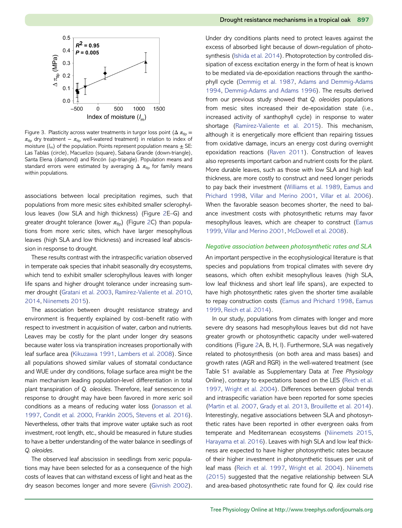<span id="page-8-0"></span>

Figure 3. Plasticity across water treatments in turgor loss point ( $\Delta \pi_{\text{th}} =$  $\pi_{\text{tip}}$  dry treatment –  $\pi_{\text{tip}}$  well-watered treatment) in relation to index of moisture  $(l_m)$  of the population. Points represent population means  $\pm$  SE: Las Tablas (circle), Macuelizo (square), Sabana Grande (down-triangle), Santa Elena (diamond) and Rincón (up-triangle). Population means and standard errors were estimated by averaging  $\Delta \pi_{\text{th}}$  for family means within populations.

associations between local precipitation regimes, such that populations from more mesic sites exhibited smaller sclerophyllous leaves (low SLA and high thickness) (Figure [2](#page-7-0)E–G) and greater drought tolerance (lower  $\pi_{\text{tlp}}$ ) (Figure [2](#page-7-0)C) than populations from more xeric sites, which have larger mesophyllous leaves (high SLA and low thickness) and increased leaf abscission in response to drought.

These results contrast with the intraspecific variation observed in temperate oak species that inhabit seasonally dry ecosystems, which tend to exhibit smaller sclerophyllous leaves with longer life spans and higher drought tolerance under increasing summer drought [\(Gratani et al. 2003,](#page-11-0) [Ramírez-Valiente et al. 2010,](#page-12-0) [2014,](#page-12-0) [Niinemets 2015\)](#page-11-0).

The association between drought resistance strategy and environment is frequently explained by cost–benefit ratio with respect to investment in acquisition of water, carbon and nutrients. Leaves may be costly for the plant under longer dry seasons because water loss via transpiration increases proportionally with leaf surface area ([Kikuzawa 1991,](#page-11-0) [Lambers et al. 2008](#page-11-0)). Since all populations showed similar values of stomatal conductance and WUE under dry conditions, foliage surface area might be the main mechanism leading population-level differentiation in total plant transpiration of Q. oleoides. Therefore, leaf senescence in response to drought may have been favored in more xeric soil conditions as a means of reducing water loss [\(Jonasson et al.](#page-11-0) [1997](#page-11-0), [Condit et al. 2000](#page-10-0), [Franklin 2005](#page-11-0), [Stevens et al. 2016](#page-12-0)). Nevertheless, other traits that improve water uptake such as root investment, root length, etc., should be measured in future studies to have a better understanding of the water balance in seedlings of Q. oleoides.

The observed leaf abscission in seedlings from xeric populations may have been selected for as a consequence of the high costs of leaves that can withstand excess of light and heat as the dry season becomes longer and more severe ([Givnish 2002](#page-11-0)). Under dry conditions plants need to protect leaves against the excess of absorbed light because of down-regulation of photosynthesis ([Ishida et al. 2014\)](#page-11-0). Photoprotection by controlled dissipation of excess excitation energy in the form of heat is known to be mediated via de-epoxidation reactions through the xanthophyll cycle ([Demmig et al. 1987](#page-10-0), [Adams and Demmig](#page-10-0)‐Adams [1994,](#page-10-0) [Demmig-Adams and Adams 1996\)](#page-10-0). The results derived from our previous study showed that Q. oleoides populations from mesic sites increased their de-epoxidation state (i.e., increased activity of xanthophyll cycle) in response to water shortage ([Ramírez-Valiente et al. 2015](#page-12-0)). This mechanism, although it is energetically more efficient than repairing tissues from oxidative damage, incurs an energy cost during overnight epoxidation reactions [\(Raven 2011\)](#page-12-0). Construction of leaves also represents important carbon and nutrient costs for the plant. More durable leaves, such as those with low SLA and high leaf thickness, are more costly to construct and need longer periods to pay back their investment [\(Williams et al. 1989](#page-12-0), [Eamus and](#page-10-0) [Prichard 1998,](#page-10-0) [Villar and Merino 2001](#page-12-0), [Villar et al. 2006\)](#page-12-0). When the favorable season becomes shorter, the need to balance investment costs with photosynthetic returns may favor mesophyllous leaves, which are cheaper to construct [\(Eamus](#page-10-0) [1999,](#page-10-0) [Villar and Merino 2001,](#page-12-0) [McDowell et al. 2008\)](#page-11-0).

# Negative association between photosynthetic rates and SLA

An important perspective in the ecophysiological literature is that species and populations from tropical climates with severe dry seasons, which often exhibit mesophyllous leaves (high SLA, low leaf thickness and short leaf life spans), are expected to have high photosynthetic rates given the shorter time available to repay construction costs [\(Eamus and Prichard 1998,](#page-10-0) [Eamus](#page-10-0) [1999,](#page-10-0) [Reich et al. 2014](#page-12-0)).

In our study, populations from climates with longer and more severe dry seasons had mesophyllous leaves but did not have greater growth or photosynthetic capacity under well-watered conditions (Figure [2A](#page-7-0), B, H, I). Furthermore, SLA was negatively related to photosynthesis (on both area and mass bases) and growth rates (AGR and RGR) in the well-watered treatment (see Table S1 available as Supplementary Data at Tree Physiology Online), contrary to expectations based on the LES [\(Reich et al.](#page-12-0) [1997,](#page-12-0) [Wright et al. 2004\)](#page-12-0). Differences between global trends and intraspecific variation have been reported for some species ([Martin et al. 2007](#page-11-0), [Grady et al. 2013,](#page-11-0) [Brouillette et al. 2014\)](#page-10-0). Interestingly, negative associations between SLA and photosynthetic rates have been reported in other evergreen oaks from temperate and Mediterranean ecosystems [\(Niinemets 2015,](#page-11-0) [Harayama et al. 2016\)](#page-11-0). Leaves with high SLA and low leaf thickness are expected to have higher photosynthetic rates because of their higher investment in photosynthetic tissues per unit of leaf mass [\(Reich et al. 1997](#page-12-0), [Wright et al. 2004](#page-12-0)). [Niinemets](#page-11-0) [\(2015\)](#page-11-0) suggested that the negative relationship between SLA and area-based photosynthetic rate found for Q. ilex could rise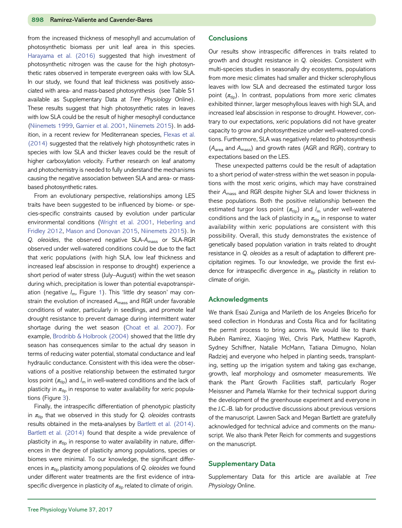from the increased thickness of mesophyll and accumulation of photosynthetic biomass per unit leaf area in this species. [Harayama et al. \(2016\)](#page-11-0) suggested that high investment of photosynthetic nitrogen was the cause for the high photosynthetic rates observed in temperate evergreen oaks with low SLA. In our study, we found that leaf thickness was positively associated with area- and mass-based photosynthesis (see Table S1 available as Supplementary Data at Tree Physiology Online). These results suggest that high photosynthetic rates in leaves with low SLA could be the result of higher mesophyll conductance ([Niinemets 1999,](#page-11-0) [Garnier et al. 2001](#page-11-0), [Niinemets 2015](#page-11-0)). In addition, in a recent review for Mediterranean species, [Flexas et al.](#page-11-0) [\(2014\)](#page-11-0) suggested that the relatively high photosynthetic rates in species with low SLA and thicker leaves could be the result of higher carboxylation velocity. Further research on leaf anatomy and photochemistry is needed to fully understand the mechanisms causing the negative association between SLA and area- or massbased photosynthetic rates.

From an evolutionary perspective, relationships among LES traits have been suggested to be influenced by biome- or species-specific constraints caused by evolution under particular environmental conditions [\(Wright et al. 2001,](#page-12-0) [Heberling and](#page-11-0) [Fridley 2012,](#page-11-0) [Mason and Donovan 2015](#page-11-0), [Niinemets 2015](#page-11-0)). In Q. oleoides, the observed negative SLA-A<sub>mass</sub> or SLA-RGR observed under well-watered conditions could be due to the fact that xeric populations (with high SLA, low leaf thickness and increased leaf abscission in response to drought) experience a short period of water stress (July–August) within the wet season during which, precipitation is lower than potential evapotranspiration (negative  $I_m$ , Figure [1\)](#page-3-0). This 'little dry season' may constrain the evolution of increased  $A<sub>mass</sub>$  and RGR under favorable conditions of water, particularly in seedlings, and promote leaf drought resistance to prevent damage during intermittent water shortage during the wet season [\(Choat et al. 2007\)](#page-10-0). For example, [Brodribb & Holbrook \(2004\)](#page-10-0) showed that the little dry season has consequences similar to the actual dry season in terms of reducing water potential, stomatal conductance and leaf hydraulic conductance. Consistent with this idea were the observations of a positive relationship between the estimated turgor loss point  $(\pi_{\text{tlo}})$  and  $I_{\text{m}}$  in well-watered conditions and the lack of plasticity in  $\pi_{\text{th}}$  in response to water availability for xeric populations (Figure [3](#page-8-0)).

Finally, the intraspecific differentiation of phenotypic plasticity in  $\pi_{\text{th}}$  that we observed in this study for Q. oleoides contrasts results obtained in the meta-analyses by [Bartlett et al. \(2014\)](#page-10-0). [Bartlett et al. \(2014\)](#page-10-0) found that despite a wide prevalence of plasticity in  $\pi_{\text{th}}$  in response to water availability in nature, differences in the degree of plasticity among populations, species or biomes were minimal. To our knowledge, the significant differences in  $\pi_{\text{tlp}}$  plasticity among populations of Q. oleoides we found under different water treatments are the first evidence of intraspecific divergence in plasticity of  $\pi_{\text{th}}$  related to climate of origin.

# **Conclusions**

Our results show intraspecific differences in traits related to growth and drought resistance in Q. oleoides. Consistent with multi-species studies in seasonally dry ecosystems, populations from more mesic climates had smaller and thicker sclerophyllous leaves with low SLA and decreased the estimated turgor loss point  $(\pi_{\text{tip}})$ . In contrast, populations from more xeric climates exhibited thinner, larger mesophyllous leaves with high SLA, and increased leaf abscission in response to drought. However, contrary to our expectations, xeric populations did not have greater capacity to grow and photosynthesize under well-watered conditions. Furthermore, SLA was negatively related to photosynthesis  $(A<sub>area</sub>$  and  $A<sub>mass</sub>)$  and growth rates (AGR and RGR), contrary to expectations based on the LES.

These unexpected patterns could be the result of adaptation to a short period of water-stress within the wet season in populations with the most xeric origins, which may have constrained their A<sub>mass</sub> and RGR despite higher SLA and lower thickness in these populations. Both the positive relationship between the estimated turgor loss point  $(\pi_{\text{tlo}})$  and  $I_m$  under well-watered conditions and the lack of plasticity in  $\pi_{\text{tlp}}$  in response to water availability within xeric populations are consistent with this possibility. Overall, this study demonstrates the existence of genetically based population variation in traits related to drought resistance in Q. oleoides as a result of adaptation to different precipitation regimes. To our knowledge, we provide the first evidence for intraspecific divergence in  $\pi_{\text{th}}$  plasticity in relation to climate of origin.

#### Acknowledgments

We thank Esaú Zuniga and Marileth de los Angeles Briceño for seed collection in Honduras and Costa Rica and for facilitating the permit process to bring acorns. We would like to thank Rubén Ramírez, Xiaojing Wei, Chris Park, Matthew Kaproth, Sydney Schiffner, Natalie McMann, Tatiana Dimugno, Nolan Radziej and everyone who helped in planting seeds, transplanting, setting up the irrigation system and taking gas exchange, growth, leaf morphology and osmometer measurements. We thank the Plant Growth Facilities staff, particularly Roger Meissner and Pamela Warnke for their technical support during the development of the greenhouse experiment and everyone in the J.C.-B. lab for productive discussions about previous versions of the manuscript. Lawren Sack and Megan Bartlett are gratefully acknowledged for technical advice and comments on the manuscript. We also thank Peter Reich for comments and suggestions on the manuscript.

## Supplementary Data

Supplementary Data for this article are available at Tree Physiology Online.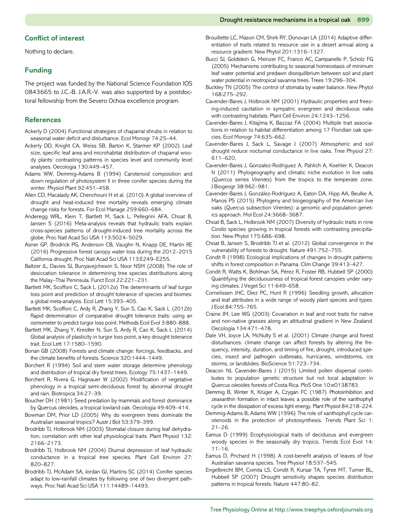# <span id="page-10-0"></span>Conflict of interest

Nothing to declare.

# Funding

The project was funded by the National Science Foundation IOS 0843665 to J.C.-B. J.A.R.-V. was also supported by a postdoctoral fellowship from the Severo Ochoa excellence program.

# References

- Ackerly D (2004) Functional strategies of chaparral shrubs in relation to seasonal water deficit and disturbance. Ecol Monogr 74:25–44.
- Ackerly DD, Knight CA, Weiss SB, Barton K, Starmer KP (2002) Leaf size, specific leaf area and microhabitat distribution of chaparral woody plants: contrasting patterns in species level and community level analyses. Oecologia 130:449–457.
- Adams WW, Demmig‐Adams B (1994) Carotenoid composition and down regulation of photosystem II in three conifer species during the winter. Physiol Plant 92:451–458.
- Allen CD, Macalady AK, Chenchouni H et al. (2010) A global overview of drought and heat-induced tree mortality reveals emerging climate change risks for forests. For Ecol Manage 259:660–684.
- Anderegg WRL, Klein T, Bartlett M, Sack L, Pellegrini AFA, Choat B, Jansen S (2016) Meta-analysis reveals that hydraulic traits explain cross-species patterns of drought-induced tree mortality across the globe. Proc Natl Acad Sci USA 113:5024–5029.
- Asner GP, Brodrick PG, Anderson CB, Vaughn N, Knapp DE, Martin RE (2016) Progressive forest canopy water loss during the 2012–2015 California drought. Proc Natl Acad Sci USA 113:E249–E255.
- Baltzer JL, Davies SJ, Bunyavejchewin S, Noor NSM (2008) The role of desiccation tolerance in determining tree species distributions along the Malay–Thai Peninsula. Funct Ecol 22:221–231.
- Bartlett MK, Scoffoni C, Sack L (2012a) The determinants of leaf turgor loss point and prediction of drought tolerance of species and biomes: a global meta‐analysis. Ecol Lett 15:393–405.
- Bartlett MK, Scoffoni C, Ardy R, Zhang Y, Sun S, Cao K, Sack L (2012b) Rapid determination of comparative drought tolerance traits: using an osmometer to predict turgor loss point. Methods Ecol Evol 3:880–888.
- Bartlett MK, Zhang Y, Kreidler N, Sun S, Ardy R, Cao K, Sack L (2014) Global analysis of plasticity in turgor loss point, a key drought tolerance trait. Ecol Lett 17:1580–1590.
- Bonan GB (2008) Forests and climate change: forcings, feedbacks, and the climate benefits of forests. Science 320:1444–1449.
- Borchert R (1994) Soil and stem water storage determine phenology and distribution of tropical dry forest trees. Ecology 75:1437–1449.
- Borchert R, Rivera G, Hagnauer W (2002) Modification of vegetative phenology in a tropical semi‐deciduous forest by abnormal drought and rain. Biotropica 34:27–39.
- Boucher DH (1981) Seed predation by mammals and forest dominance by Quercus oleoides, a tropical lowland oak. Oecologia 49:409–414.
- Bowman DM, Prior LD (2005) Why do evergreen trees dominate the Australian seasonal tropics? Austr J Bot 53:379–399.
- Brodribb TJ, Holbrook NM (2003) Stomatal closure during leaf dehydration, correlation with other leaf physiological traits. Plant Physiol 132: 2166–2173.
- Brodribb TJ, Holbrook NM (2004) Diurnal depression of leaf hydraulic conductance in a tropical tree species. Plant Cell Environ 27: 820–827.
- Brodribb TJ, McAdam SA, Jordan GJ, Martins SC (2014) Conifer species adapt to low-rainfall climates by following one of two divergent pathways. Proc Natl Acad Sci USA 111:14489–14493.
- Brouillette LC, Mason CM, Shirk RY, Donovan LA (2014) Adaptive differentiation of traits related to resource use in a desert annual along a resource gradient. New Phytol 201:1316–1327.
- Bucci SJ, Goldstein G, Meinzer FC, Franco AC, Campanello P, Scholz FG (2005) Mechanisms contributing to seasonal homeostasis of minimum leaf water potential and predawn disequilibrium between soil and plant water potential in neotropical savanna trees. Trees 19:296–304.
- Buckley TN (2005) The control of stomata by water balance. New Phytol 168:275–292.
- Cavender‐Bares J, Holbrook NM (2001) Hydraulic properties and freezing‐induced cavitation in sympatric evergreen and deciduous oaks with contrasting habitats. Plant Cell Environ 24:1243–1256.
- Cavender-Bares J, Kitajima K, Bazzaz FA (2004) Multiple trait associations in relation to habitat differentiation among 17 Floridian oak species. Ecol Monogr 74:635–662.
- Cavender-Bares J, Sack L, Savage J (2007) Atmospheric and soil drought reduce nocturnal conductance in live oaks. Tree Physiol 27: 611–620.
- Cavender‐Bares J, Gonzalez‐Rodriguez A, Pahlich A, Koehler K, Deacon N (2011) Phylogeography and climatic niche evolution in live oaks (Quercus series Virentes) from the tropics to the temperate zone. J Biogeogr 38:962–981.
- Cavender‐Bares J, González‐Rodríguez A, Eaton DA, Hipp AA, Beulke A, Manos PS (2015) Phylogeny and biogeography of the American live oaks (Quercus subsection Virentes): a genomic and population genetics approach. Mol Ecol 24:3668–3687.
- Choat B, Sack L, Holbrook NM (2007) Diversity of hydraulic traits in nine Cordia species growing in tropical forests with contrasting precipitation. New Phytol 175:686–698.
- Choat B, Jansen S, Brodribb TJ et al. (2012) Global convergence in the vulnerability of forests to drought. Nature 491:752–755.
- Condit R (1998) Ecological implications of changes in drought patterns: shifts in forest composition in Panama. Clim Change 39:413–427.
- Condit R, Watts K, Bohlman SA, Pérez R, Foster RB, Hubbell SP (2000) Quantifying the deciduousness of tropical forest canopies under varying climates. J Veget Sci 11:649–658.
- Cornelissen JHC, Diez PC, Hunt R (1996) Seedling growth, allocation and leaf attributes in a wide range of woody plant species and types. J Ecol 84:755–765.
- Craine JM, Lee WG (2003) Covariation in leaf and root traits for native and non-native grasses along an altitudinal gradient in New Zealand. Oecologia 134:471–478.
- Dale VH, Joyce LA, McNulty S et al. (2001) Climate change and forest disturbances: climate change can affect forests by altering the frequency, intensity, duration, and timing of fire, drought, introduced species, insect and pathogen outbreaks, hurricanes, windstorms, ice storms, or landslides. BioScience 51:723–734.
- Deacon NJ, Cavender-Bares J (2015) Limited pollen dispersal contributes to population genetic structure but not local adaptation in Quercus oleoides forests of Costa Rica. PloS One 10:e0138783.
- Demmig B, Winter K, Krüger A, Czygan FC (1987) Photoinhibition and zeaxanthin formation in intact leaves a possible role of the xanthophyll cycle in the dissipation of excess light energy. Plant Physiol 84:218–224.
- Demmig-Adams B, Adams WW (1996) The role of xanthophyll cycle carotenoids in the protection of photosynthesis. Trends Plant Sci 1: 21–26.
- Eamus D (1999) Ecophysiological traits of deciduous and evergreen woody species in the seasonally dry tropics. Trends Ecol Evol 14: 11–16.
- Eamus D, Prichard H (1998) A cost-benefit analysis of leaves of four Australian savanna species. Tree Physiol 18:537–545.
- Engelbrecht BM, Comita LS, Condit R, Kursar TA, Tyree MT, Turner BL, Hubbell SP (2007) Drought sensitivity shapes species distribution patterns in tropical forests. Nature 447:80–82.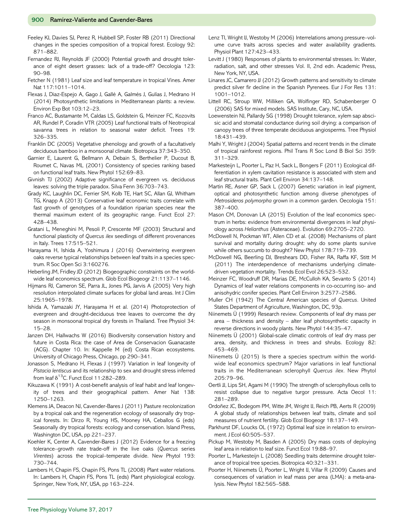<span id="page-11-0"></span>Feeley KJ, Davies SJ, Perez R, Hubbell SP, Foster RB (2011) Directional changes in the species composition of a tropical forest. Ecology 92: 871–882.

Fernandez RJ, Reynolds JF (2000) Potential growth and drought tolerance of eight desert grasses: lack of a trade-off? Oecologia 123: 90–98.

Fetcher N (1981) Leaf size and leaf temperature in tropical Vines. Amer Nat 117:1011–1014.

Flexas J, Diaz-Espejo A, Gago J, Gallé A, Galmés J, Gulías J, Medrano H (2014) Photosynthetic limitations in Mediterranean plants: a review. Environ Exp Bot 103:12–23.

Franco AC, Bustamante M, Caldas LS, Goldstein G, Meinzer FC, Kozovits AR, Rundel P, Coradin VTR (2005) Leaf functional traits of Neotropical savanna trees in relation to seasonal water deficit. Trees 19: 326–335.

Franklin DC (2005) Vegetative phenology and growth of a facultatively deciduous bamboo in a monsoonal climate. Biotropica 37:343–350.

Garnier E, Laurent G, Bellmann A, Debain S, Berthelier P, Ducout B, Roumet C, Navas ML (2001) Consistency of species ranking based on functional leaf traits. New Phytol 152:69–83.

Givnish TJ (2002) Adaptive significance of evergreen vs. deciduous leaves: solving the triple paradox. Silva Fenn 36:703–743.

Grady KC, Laughlin DC, Ferrier SM, Kolb TE, Hart SC, Allan GJ, Whitham TG, Knapp A (2013) Conservative leaf economic traits correlate with fast growth of genotypes of a foundation riparian species near the thermal maximum extent of its geographic range. Funct Ecol 27: 428–438.

Gratani L, Meneghini M, Pesoli P, Crescente MF (2003) Structural and functional plasticity of Quercus ilex seedlings of different provenances in Italy. Trees 17:515–521.

Harayama H, Ishida A, Yoshimura J (2016) Overwintering evergreen oaks reverse typical relationships between leaf traits in a species spectrum. R Soc Open Sci 3:160276.

Heberling JM, Fridley JD (2012) Biogeographic constraints on the worldwide leaf economics spectrum. Glob Ecol Biogeogr 21:1137–1146.

Hijmans RJ, Cameron SE, Parra JL, Jones PG, Jarvis A (2005) Very high resolution interpolated climate surfaces for global land areas. Int J Clim 25:1965–1978.

Ishida A, Yamazaki JY, Harayama H et al. (2014) Photoprotection of evergreen and drought-deciduous tree leaves to overcome the dry season in monsoonal tropical dry forests in Thailand. Tree Physiol 34: 15–28.

Janzen DH, Hallwachs W (2016) Biodiversity conservation history and future in Costa Rica: the case of Area de Conservacion Guanacaste (ACG). Chapter 10. In: Kappelle M (ed) Costa Rican ecosystems. University of Chicago Press, Chicago, pp 290–341.

Jonasson S, Medrano H, Flexas J (1997) Variation in leaf longevity of Pistacia lentiscus and its relationship to sex and drought stress inferred from leaf  $\delta^{13}$ C. Funct Ecol 11:282–289.

Kikuzawa K (1991) A cost-benefit analysis of leaf habit and leaf longevity of trees and their geographical pattern. Amer Nat 138: 1250–1263.

Klemens JA, Deacon NJ, Cavender-Bares J (2011) Pasture recolonization by a tropical oak and the regeneration ecology of seasonally dry tropical forests. In: Dirzo R, Young HS, Mooney HA, Ceballos G (eds) Seasonally dry tropical forests: ecology and conservation. Island Press, Washington DC, USA, pp 221–237.

Koehler K, Center A, Cavender‐Bares J (2012) Evidence for a freezing tolerance–growth rate trade‐off in the live oaks (Quercus series Virentes) across the tropical–temperate divide. New Phytol 193: 730–744.

Lambers H, Chapin FS, Chapin FS, Pons TL (2008) Plant water relations. In: Lambers H, Chapin FS, Pons TL (eds) Plant physiological ecology. Springer, New York, NY, USA, pp 163–224.

Lenz TI, Wright IJ, Westoby M (2006) Interrelations among pressure–volume curve traits across species and water availability gradients. Physiol Plant 127:423–433.

Levitt J (1980) Responses of plants to environmental stresses. In: Water, radiation, salt, and other stresses Vol. II, 2nd edn. Academic Press, New York, NY, USA.

Linares JC, Camarero JJ (2012) Growth patterns and sensitivity to climate predict silver fir decline in the Spanish Pyrenees. Eur J For Res 131: 1001–1012.

Littell RC, Stroup WW, Milliken GA, Wolfinger RD, Schabenberger O (2006) SAS for mixed models. SAS Institute, Cary, NC, USA.

Loewenstein NJ, Pallardy SG (1998) Drought tolerance, xylem sap abscisic acid and stomatal conductance during soil drying: a comparison of canopy trees of three temperate deciduous angiosperms. Tree Physiol 18:431–439.

Malhi Y, Wright J (2004) Spatial patterns and recent trends in the climate of tropical rainforest regions. Phil Trans R Soc Lond B Biol Sci 359: 311–329.

Markesteijn L, Poorter L, Paz H, Sack L, Bongers F (2011) Ecological differentiation in xylem cavitation resistance is associated with stem and leaf structural traits. Plant Cell Environ 34:137–148.

Martin RE, Asner GP, Sack L (2007) Genetic variation in leaf pigment, optical and photosynthetic function among diverse phenotypes of Metrosideros polymorpha grown in a common garden. Oecologia 151: 387–400.

Mason CM, Donovan LA (2015) Evolution of the leaf economics spectrum in herbs: evidence from environmental divergences in leaf physiology across Helianthus (Asteraceae). Evolution 69:2705–2720.

McDowell N, Pockman WT, Allen CD et al. (2008) Mechanisms of plant survival and mortality during drought: why do some plants survive while others succumb to drought? New Phytol 178:719–739.

McDowell NG, Beerling DJ, Breshears DD, Fisher RA, Raffa KF, Stitt M (2011) The interdependence of mechanisms underlying climatedriven vegetation mortality. Trends Ecol Evol 26:523–532.

Meinzer FC, Woodruff DR, Marias DE, McCulloh KA, Sevanto S (2014) Dynamics of leaf water relations components in co‐occurring iso‐ and anisohydric conifer species. Plant Cell Environ 3:2577–2586.

Muller CH (1942) The Central American species of Quercus. United States Department of Agriculture, Washington, DC, 93p.

Niinemets Ü (1999) Research review. Components of leaf dry mass per area – thickness and density – alter leaf photosynthetic capacity in reverse directions in woody plants. New Phytol 144:35–47.

Niinemets Ü (2001) Global-scale climatic controls of leaf dry mass per area, density, and thickness in trees and shrubs. Ecology 82: 453–469.

Niinemets Ü (2015) Is there a species spectrum within the world‐ wide leaf economics spectrum? Major variations in leaf functional traits in the Mediterranean sclerophyll Quercus ilex. New Phytol 205:79–96.

Oertli JJ, Lips SH, Agami M (1990) The strength of sclerophyllous cells to resist collapse due to negative turgor pressure. Acta Oecol 11: 281–289.

Ordoñez JC, Bodegom PM, Witte JM, Wright IJ, Reich PB, Aerts R (2009) A global study of relationships between leaf traits, climate and soil measures of nutrient fertility. Glob Ecol Biogeogr 18:137–149.

Parkhurst DF, Loucks OL (1972) Optimal leaf size in relation to environment. J Ecol 60:505–537.

Pickup M, Westoby M, Basden A (2005) Dry mass costs of deploying leaf area in relation to leaf size. Funct Ecol 19:88–97.

Poorter L, Markesteijn L (2008) Seedling traits determine drought tolerance of tropical tree species. Biotropica 40:321–331.

Poorter H, Niinemets Ü, Poorter L, Wright IJ, Villar R (2009) Causes and consequences of variation in leaf mass per area (LMA): a meta-analysis. New Phytol 182:565–588.